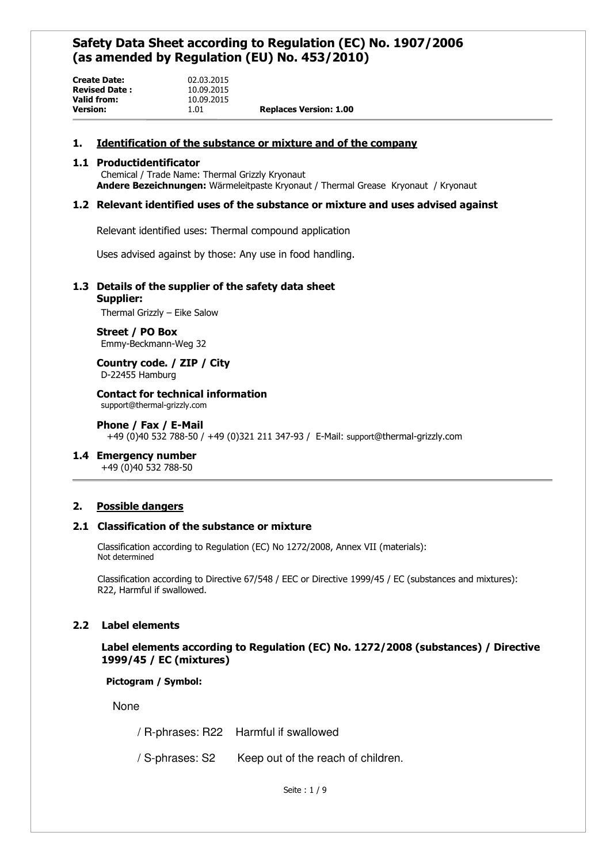| <b>Version:</b>      | 1.01       | <b>Replaces Version: 1.00</b> |
|----------------------|------------|-------------------------------|
| Valid from:          | 10.09.2015 |                               |
| <b>Revised Date:</b> | 10.09.2015 |                               |
| <b>Create Date:</b>  | 02.03.2015 |                               |

# **1. Identification of the substance or mixture and of the company**

## **1.1 Productidentificator**

Chemical / Trade Name: Thermal Grizzly Kryonaut **Andere Bezeichnungen:** Wärmeleitpaste Kryonaut / Thermal Grease Kryonaut / Kryonaut

# **1.2 Relevant identified uses of the substance or mixture and uses advised against**

Relevant identified uses: Thermal compound application

Uses advised against by those: Any use in food handling.

# **1.3 Details of the supplier of the safety data sheet**

#### **Supplier:**

Thermal Grizzly – Eike Salow

 **Street / PO Box** Emmy-Beckmann-Weg 32

 **Country code. / ZIP / City** D-22455 Hamburg

 **Contact for technical information** support@thermal-grizzly.com

 **Phone / Fax / E-Mail** +49 (0)40 532 788-50 / +49 (0)321 211 347-93 / E-Mail: support@thermal-grizzly.com

# **1.4 Emergency number**

+49 (0)40 532 788-50

# **2. Possible dangers**

# **2.1 Classification of the substance or mixture**

Classification according to Regulation (EC) No 1272/2008, Annex VII (materials): Not determined

Classification according to Directive 67/548 / EEC or Directive 1999/45 / EC (substances and mixtures): R22, Harmful if swallowed.

# **2.2 Label elements**

 **Label elements according to Regulation (EC) No. 1272/2008 (substances) / Directive 1999/45 / EC (mixtures)**

 **Pictogram / Symbol:** 

None

/ R-phrases: R22 Harmful if swallowed

/ S-phrases: S2 Keep out of the reach of children.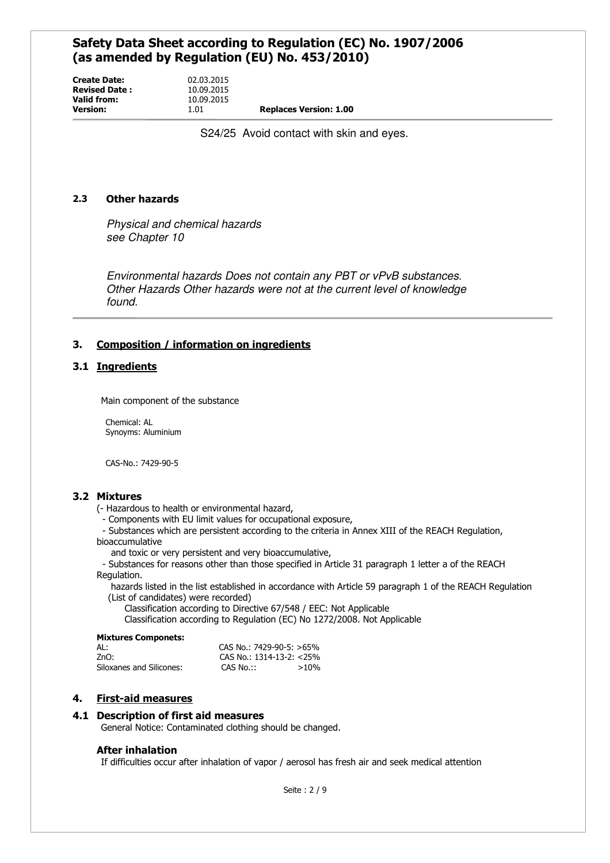**Create Date:** 02.03.2015<br>**Revised Date:** 10.09.2015 **Revised Date: Valid from:** 10.09.2015<br>**Version:** 1.01

**Version:** 1.01 **Replaces Version: 1.00**

S24/25 Avoid contact with skin and eyes.

# **2.3 Other hazards**

Physical and chemical hazards see Chapter 10

Environmental hazards Does not contain any PBT or vPvB substances. Other Hazards Other hazards were not at the current level of knowledge found.

# **3. Composition / information on ingredients**

# **3.1 Ingredients**

Main component of the substance

Chemical: AL Synoyms: Aluminium

CAS-No.: 7429-90-5

# **3.2 Mixtures**

- (- Hazardous to health or environmental hazard,
	- Components with EU limit values for occupational exposure,
- Substances which are persistent according to the criteria in Annex XIII of the REACH Regulation, bioaccumulative

and toxic or very persistent and very bioaccumulative,

 - Substances for reasons other than those specified in Article 31 paragraph 1 letter a of the REACH Regulation.

 hazards listed in the list established in accordance with Article 59 paragraph 1 of the REACH Regulation (List of candidates) were recorded)

Classification according to Directive 67/548 / EEC: Not Applicable

Classification according to Regulation (EC) No 1272/2008. Not Applicable

#### **Mixtures Componets:**

| AL:                      | CAS No.: 7429-90-5: $>65\%$ |         |
|--------------------------|-----------------------------|---------|
| 7nO:                     | CAS No.: $1314-13-2$ : <25% |         |
| Siloxanes and Silicones: | CAS No.::                   | $>10\%$ |

# **4. First-aid measures**

# **4.1 Description of first aid measures**

General Notice: Contaminated clothing should be changed.

# **After inhalation**

If difficulties occur after inhalation of vapor / aerosol has fresh air and seek medical attention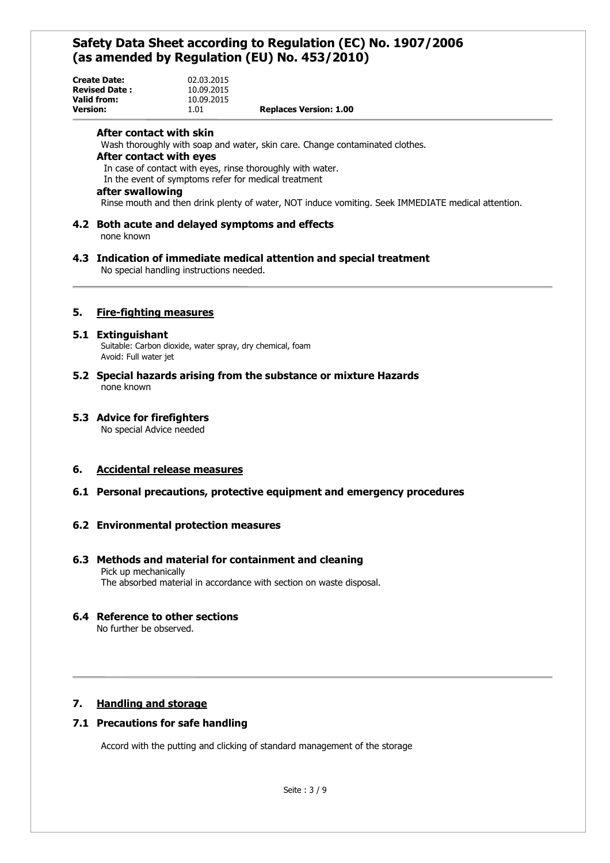| <b>Create Date:</b>  | 02.03.2015 |                               |
|----------------------|------------|-------------------------------|
| <b>Revised Date:</b> | 10.09.2015 |                               |
| Valid from:          | 10.09.2015 |                               |
| <b>Version:</b>      | 1.01       | <b>Replaces Version: 1.00</b> |

## **After contact with skin**

Wash thoroughly with soap and water, skin care. Change contaminated clothes.

#### **After contact with eyes**

In case of contact with eyes, rinse thoroughly with water.

In the event of symptoms refer for medical treatment

# **after swallowing**

Rinse mouth and then drink plenty of water, NOT induce vomiting. Seek IMMEDIATE medical attention.

## **4.2 Both acute and delayed symptoms and effects**  none known

#### **4.3 Indication of immediate medical attention and special treatment** No special handling instructions needed.

# **5. Fire-fighting measures**

#### **5.1 Extinguishant**

Suitable: Carbon dioxide, water spray, dry chemical, foam Avoid: Full water jet

**5.2 Special hazards arising from the substance or mixture Hazards** none known

# **5.3 Advice for firefighters**

No special Advice needed

# **6. Accidental release measures**

# **6.1 Personal precautions, protective equipment and emergency procedures**

# **6.2 Environmental protection measures**

# **6.3 Methods and material for containment and cleaning** Pick up mechanically

The absorbed material in accordance with section on waste disposal.

# **6.4 Reference to other sections**

No further be observed.

# **7. Handling and storage**

# **7.1 Precautions for safe handling**

Accord with the putting and clicking of standard management of the storage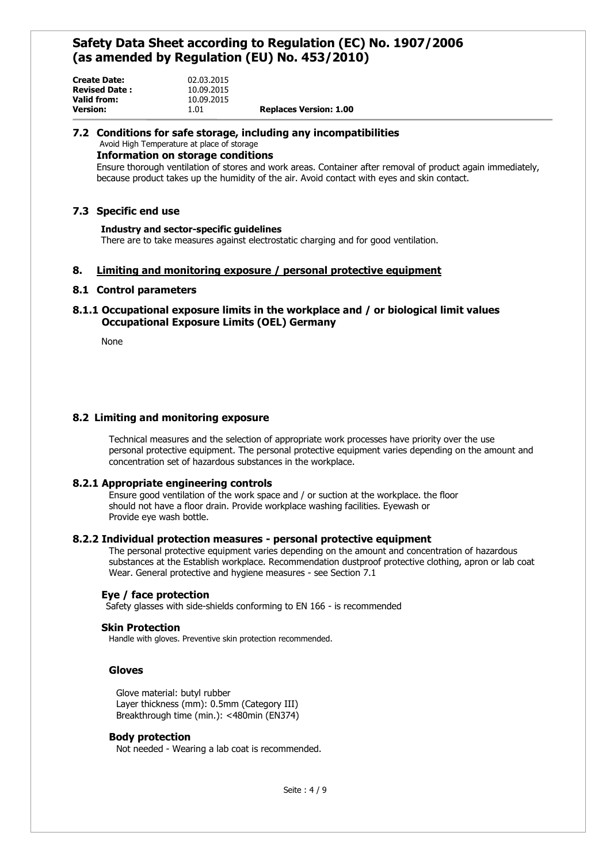| <b>Create Date:</b>  | 02.03.2015 |                               |
|----------------------|------------|-------------------------------|
| <b>Revised Date:</b> | 10.09.2015 |                               |
| Valid from:          | 10.09.2015 |                               |
| <b>Version:</b>      | 1.01       | <b>Replaces Version: 1.00</b> |

#### **7.2 Conditions for safe storage, including any incompatibilities**  Avoid High Temperature at place of storage

**Information on storage conditions** 

Ensure thorough ventilation of stores and work areas. Container after removal of product again immediately, because product takes up the humidity of the air. Avoid contact with eyes and skin contact.

# **7.3 Specific end use**

### **Industry and sector-specific guidelines**

There are to take measures against electrostatic charging and for good ventilation.

# **8. Limiting and monitoring exposure / personal protective equipment**

## **8.1 Control parameters**

# **8.1.1 Occupational exposure limits in the workplace and / or biological limit values Occupational Exposure Limits (OEL) Germany**

None

# **8.2 Limiting and monitoring exposure**

Technical measures and the selection of appropriate work processes have priority over the use personal protective equipment. The personal protective equipment varies depending on the amount and concentration set of hazardous substances in the workplace.

# **8.2.1 Appropriate engineering controls**

Ensure good ventilation of the work space and / or suction at the workplace. the floor should not have a floor drain. Provide workplace washing facilities. Eyewash or Provide eye wash bottle.

#### **8.2.2 Individual protection measures - personal protective equipment**

The personal protective equipment varies depending on the amount and concentration of hazardous substances at the Establish workplace. Recommendation dustproof protective clothing, apron or lab coat Wear. General protective and hygiene measures - see Section 7.1

#### **Eye / face protection**

Safety glasses with side-shields conforming to EN 166 - is recommended

#### **Skin Protection**

Handle with gloves. Preventive skin protection recommended.

## **Gloves**

Glove material: butyl rubber Layer thickness (mm): 0.5mm (Category III) Breakthrough time (min.): <480min (EN374)

#### **Body protection**

Not needed - Wearing a lab coat is recommended.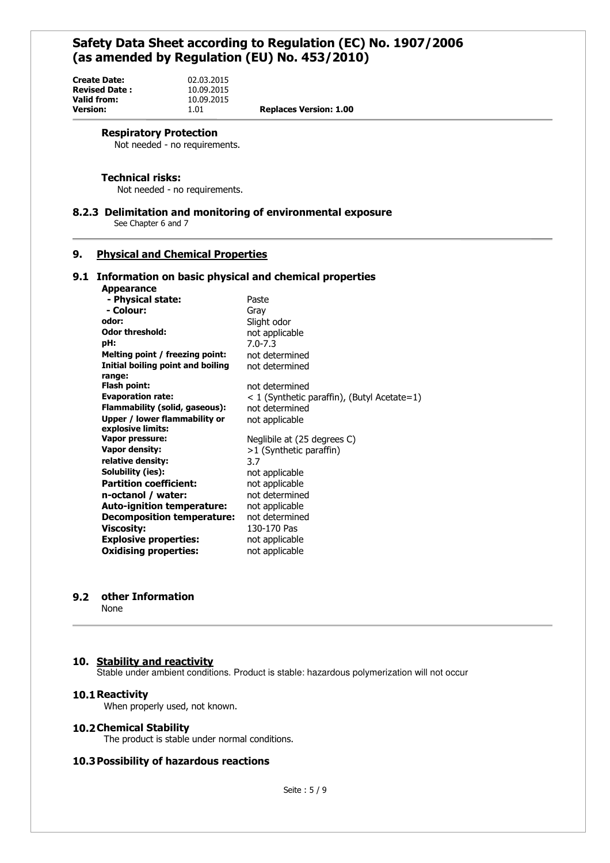| Create Date:   |  |
|----------------|--|
| Revised Date : |  |
| Valid from:    |  |
| Version:       |  |
|                |  |

**Version:** 1.01 **Replaces Version: 1.00**

#### **Respiratory Protection**

Not needed - no requirements.

**Create Date:** 02.03.2015 **Revised Date :** 10.09.2015 10.09.2015<br>1.01

## **Technical risks:**

Not needed - no requirements.

#### **8.2.3 Delimitation and monitoring of environmental exposure**

See Chapter 6 and 7

# **9. Physical and Chemical Properties**

#### **9.1 Information on basic physical and chemical properties Appearance**

| - Physical state:                 | Paste                                         |
|-----------------------------------|-----------------------------------------------|
| - Colour:                         | Grav                                          |
| odor:                             | Slight odor                                   |
| <b>Odor threshold:</b>            | not applicable                                |
| pH:                               | $7.0 - 7.3$                                   |
| Melting point / freezing point:   | not determined                                |
| Initial boiling point and boiling | not determined                                |
| range:                            |                                               |
| Flash point:                      | not determined                                |
| <b>Evaporation rate:</b>          | $<$ 1 (Synthetic paraffin), (Butyl Acetate=1) |
| Flammability (solid, gaseous):    | not determined                                |
| Upper / lower flammability or     | not applicable                                |
| explosive limits:                 |                                               |
| Vapor pressure:                   | Neglibile at (25 degrees C)                   |
| <b>Vapor density:</b>             | >1 (Synthetic paraffin)                       |
| relative density:                 | 3.7                                           |
| Solubility (ies):                 | not applicable                                |
| <b>Partition coefficient:</b>     | not applicable                                |
| n-octanol / water:                | not determined                                |
| <b>Auto-ignition temperature:</b> | not applicable                                |
| <b>Decomposition temperature:</b> | not determined                                |
| <b>Viscosity:</b>                 | 130-170 Pas                                   |
| <b>Explosive properties:</b>      | not applicable                                |
| <b>Oxidising properties:</b>      | not applicable                                |

#### **9.2 other Information**

None

#### **10. Stability and reactivity**

Stable under ambient conditions. Product is stable: hazardous polymerization will not occur

# **10.1Reactivity**

When properly used, not known.

## **10.2Chemical Stability**

The product is stable under normal conditions.

# **10.3Possibility of hazardous reactions**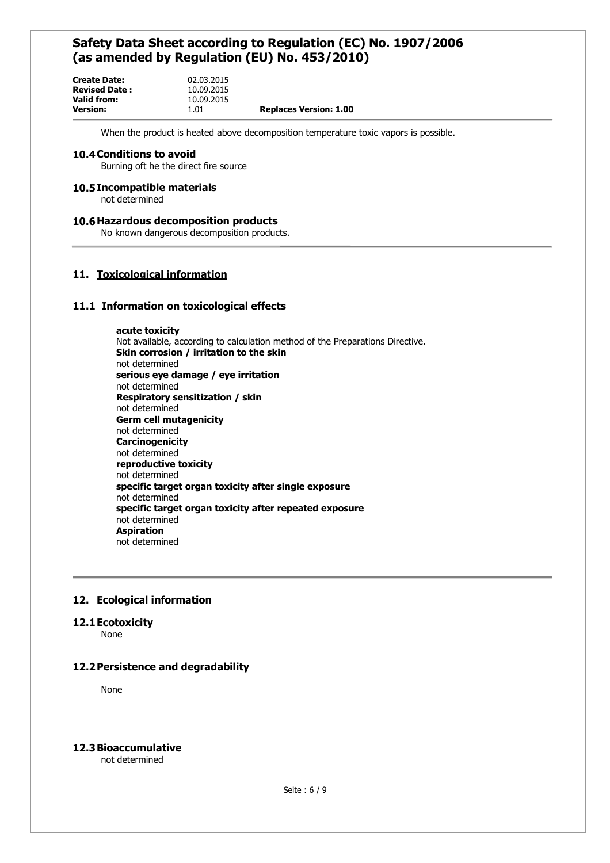| <b>Create Date:</b>  | 02.03.2015 |                               |
|----------------------|------------|-------------------------------|
| <b>Revised Date:</b> | 10.09.2015 |                               |
| Valid from:          | 10.09.2015 |                               |
| <b>Version:</b>      | 1.01       | <b>Replaces Version: 1.00</b> |

When the product is heated above decomposition temperature toxic vapors is possible.

#### **10.4Conditions to avoid**

Burning oft he the direct fire source

#### **10.5Incompatible materials**

not determined

#### **10.6Hazardous decomposition products**

No known dangerous decomposition products.

# **11. Toxicological information**

## **11.1 Information on toxicological effects**

**acute toxicity**  Not available, according to calculation method of the Preparations Directive. **Skin corrosion / irritation to the skin**  not determined **serious eye damage / eye irritation**  not determined **Respiratory sensitization / skin**  not determined **Germ cell mutagenicity**  not determined **Carcinogenicity**  not determined **reproductive toxicity**  not determined **specific target organ toxicity after single exposure**  not determined **specific target organ toxicity after repeated exposure**  not determined **Aspiration**  not determined

# **12. Ecological information**

#### **12.1Ecotoxicity**

None

## **12.2Persistence and degradability**

None

## **12.3Bioaccumulative**

not determined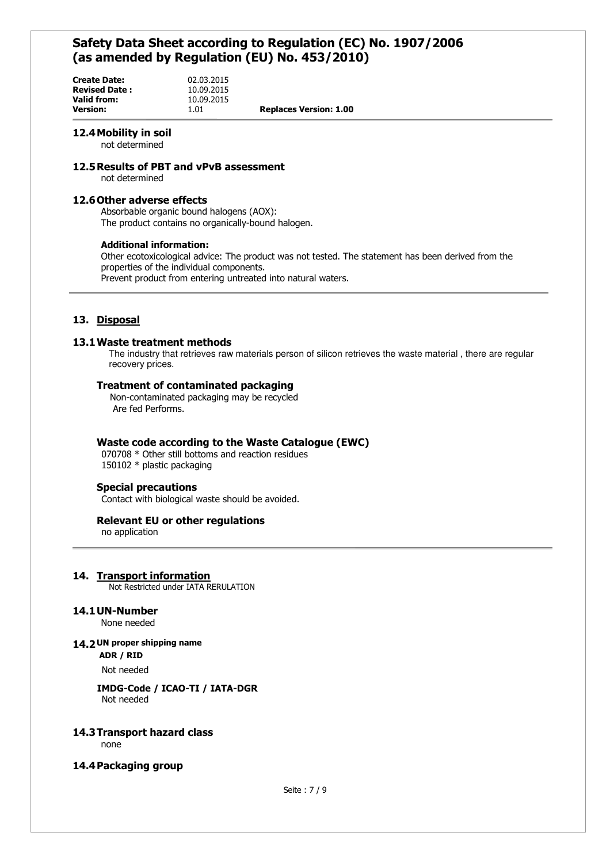| 02.03.2015 |                               |
|------------|-------------------------------|
| 10.09.2015 |                               |
| 10.09.2015 |                               |
| 1.01       | <b>Replaces Version: 1.00</b> |
|            |                               |

# **12.4Mobility in soil**

not determined

#### **12.5Results of PBT and vPvB assessment**

not determined

# **12.6Other adverse effects**

Absorbable organic bound halogens (AOX): The product contains no organically-bound halogen.

#### **Additional information:**

Other ecotoxicological advice: The product was not tested. The statement has been derived from the properties of the individual components. Prevent product from entering untreated into natural waters.

# **13. Disposal**

#### **13.1Waste treatment methods**

The industry that retrieves raw materials person of silicon retrieves the waste material , there are regular recovery prices.

## **Treatment of contaminated packaging**

 Non-contaminated packaging may be recycled Are fed Performs.

# **Waste code according to the Waste Catalogue (EWC)**

070708 \* Other still bottoms and reaction residues 150102 \* plastic packaging

## **Special precautions**

Contact with biological waste should be avoided.

#### **Relevant EU or other regulations**

no application

# **14. Transport information**

Not Restricted under IATA RERULATION

# **14.1UN-Number**

None needed

## **14.2 UN proper shipping name**

**ADR / RID**

Not needed

## **IMDG-Code / ICAO-TI / IATA-DGR**  Not needed

# **14.3Transport hazard class**

none

# **14.4Packaging group**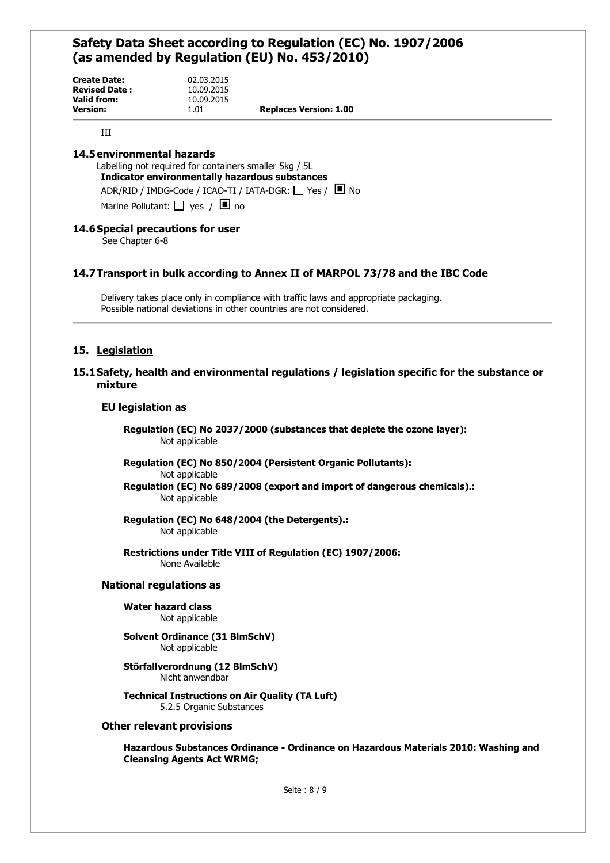| <b>Create Date:</b>  | 02.03.2015 |                               |
|----------------------|------------|-------------------------------|
| <b>Revised Date:</b> | 10.09.2015 |                               |
| Valid from:          | 10.09.2015 |                               |
| <b>Version:</b>      | 1.01       | <b>Replaces Version: 1.00</b> |
|                      |            |                               |

III

# **14.5environmental hazards**

Labelling not required for containers smaller 5kg / 5L **Indicator environmentally hazardous substances**  ADR/RID / IMDG-Code / ICAO-TI / IATA-DGR:  $\Box$  Yes /  $\Box$  No Marine Pollutant:  $\Box$  yes /  $\Box$  no

# **14.6Special precautions for user**

See Chapter 6-8

# **14.7Transport in bulk according to Annex II of MARPOL 73/78 and the IBC Code**

Delivery takes place only in compliance with traffic laws and appropriate packaging. Possible national deviations in other countries are not considered.

# **15. Legislation**

# **15.1Safety, health and environmental regulations / legislation specific for the substance or mixture**

# **EU legislation as**

 **Regulation (EC) No 2037/2000 (substances that deplete the ozone layer):** Not applicable

 **Regulation (EC) No 850/2004 (Persistent Organic Pollutants):** Not applicable **Regulation (EC) No 689/2008 (export and import of dangerous chemicals).:**

Not applicable

 **Regulation (EC) No 648/2004 (the Detergents).:**  Not applicable

 **Restrictions under Title VIII of Regulation (EC) 1907/2006:**  None Available

#### **National regulations as**

#### **Water hazard class** Not applicable

#### **Solvent Ordinance (31 BlmSchV)** Not applicable

 **Störfallverordnung (12 BlmSchV)** Nicht anwendbar

 **Technical Instructions on Air Quality (TA Luft)** 5.2.5 Organic Substances

## **Other relevant provisions**

**Hazardous Substances Ordinance - Ordinance on Hazardous Materials 2010: Washing and Cleansing Agents Act WRMG;**